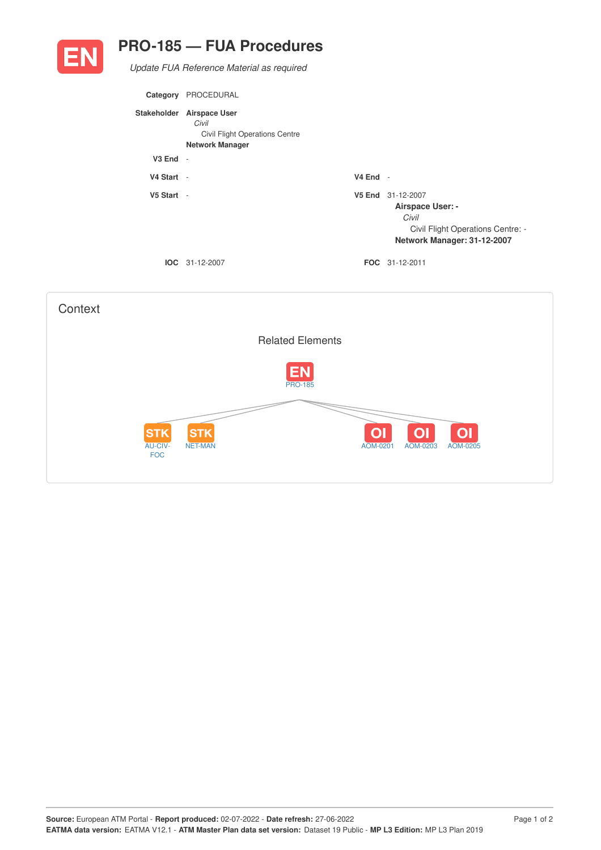

## **PRO-185 — FUA Procedures**

*Update FUA Reference Material as required*

| Category     | PROCEDURAL                                                                                            |            |                                                                                                                           |
|--------------|-------------------------------------------------------------------------------------------------------|------------|---------------------------------------------------------------------------------------------------------------------------|
|              | Stakeholder Airspace User<br>Civil<br><b>Civil Flight Operations Centre</b><br><b>Network Manager</b> |            |                                                                                                                           |
| $V3$ End $-$ |                                                                                                       |            |                                                                                                                           |
| V4 Start -   |                                                                                                       | $V4$ End - |                                                                                                                           |
| $V5$ Start - |                                                                                                       |            | V5 End 31-12-2007<br><b>Airspace User: -</b><br>Civil<br>Civil Flight Operations Centre: -<br>Network Manager: 31-12-2007 |
|              | <b>IOC</b> 31-12-2007                                                                                 |            | <b>FOC</b> 31-12-2011                                                                                                     |